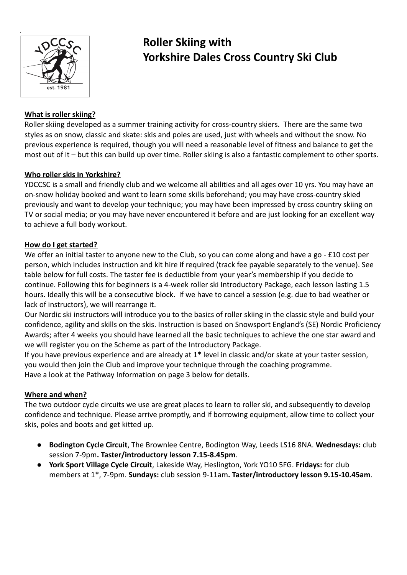

# **Roller Skiing with Yorkshire Dales Cross Country Ski Club**

# **What is roller skiing?**

Roller skiing developed as a summer training activity for cross-country skiers. There are the same two styles as on snow, classic and skate: skis and poles are used, just with wheels and without the snow. No previous experience is required, though you will need a reasonable level of fitness and balance to get the most out of it – but this can build up over time. Roller skiing is also a fantastic complement to other sports.

### **Who roller skis in Yorkshire?**

YDCCSC is a small and friendly club and we welcome all abilities and all ages over 10 yrs. You may have an on-snow holiday booked and want to learn some skills beforehand; you may have cross-country skied previously and want to develop your technique; you may have been impressed by cross country skiing on TV or social media; or you may have never encountered it before and are just looking for an excellent way to achieve a full body workout.

### **How do I get started?**

We offer an initial taster to anyone new to the Club, so you can come along and have a go - £10 cost per person, which includes instruction and kit hire if required (track fee payable separately to the venue). See table below for full costs. The taster fee is deductible from your year's membership if you decide to continue. Following this for beginners is a 4-week roller ski Introductory Package, each lesson lasting 1.5 hours. Ideally this will be a consecutive block. If we have to cancel a session (e.g. due to bad weather or lack of instructors), we will rearrange it.

Our Nordic ski instructors will introduce you to the basics of roller skiing in the classic style and build your confidence, agility and skills on the skis. Instruction is based on Snowsport England's (SE) Nordic Proficiency Awards; after 4 weeks you should have learned all the basic techniques to achieve the one star award and we will register you on the Scheme as part of the Introductory Package.

If you have previous experience and are already at 1\* level in classic and/or skate at your taster session, you would then join the Club and improve your technique through the coaching programme. Have a look at the Pathway Information on page 3 below for details.

# **Where and when?**

The two outdoor cycle circuits we use are great places to learn to roller ski, and subsequently to develop confidence and technique. Please arrive promptly, and if borrowing equipment, allow time to collect your skis, poles and boots and get kitted up.

- **Bodington Cycle Circuit**, The Brownlee Centre, Bodington Way, Leeds LS16 8NA. **Wednesdays:** club session 7-9pm**. Taster/introductory lesson 7.15-8.45pm**.
- **York Sport Village Cycle Circuit**, Lakeside Way, Heslington, York YO10 5FG. **Fridays:** for club members at 1\*, 7-9pm. **Sundays:** club session 9-11am**. Taster/introductory lesson 9.15-10.45am**.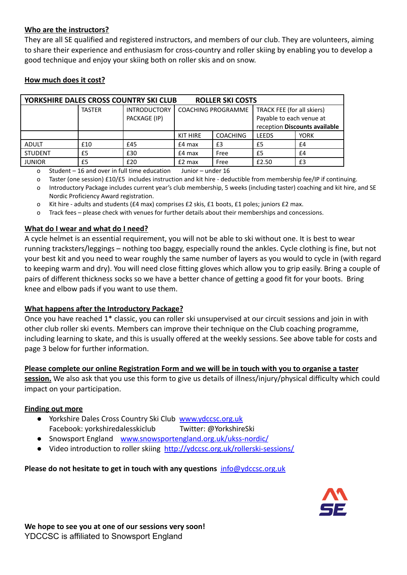#### **Who are the instructors?**

They are all SE qualified and registered instructors, and members of our club. They are volunteers, aiming to share their experience and enthusiasm for cross-country and roller skiing by enabling you to develop a good technique and enjoy your skiing both on roller skis and on snow.

| YORKSHIRE DALES CROSS COUNTRY SKI CLUB<br><b>ROLLER SKI COSTS</b> |               |                                     |                           |                 |                                                                                         |             |  |
|-------------------------------------------------------------------|---------------|-------------------------------------|---------------------------|-----------------|-----------------------------------------------------------------------------------------|-------------|--|
|                                                                   | <b>TASTER</b> | <b>INTRODUCTORY</b><br>PACKAGE (IP) | <b>COACHING PROGRAMME</b> |                 | TRACK FEE (for all skiers)<br>Payable to each venue at<br>reception Discounts available |             |  |
|                                                                   |               |                                     | KIT HIRE                  | <b>COACHING</b> | <b>LEEDS</b>                                                                            | <b>YORK</b> |  |
| <b>ADULT</b>                                                      | £10           | £45                                 | $£4$ max                  | £3              | £5                                                                                      | £4          |  |
| <b>STUDENT</b>                                                    | £5            | £30                                 | $£4$ max                  | Free            | £5                                                                                      | £4          |  |
| <b>JUNIOR</b>                                                     | £5            | £20                                 | $£2$ max                  | Free            | £2.50                                                                                   | £3          |  |

#### **How much does it cost?**

o Student – 16 and over in full time education Junior – under 16

- o Taster (one session) £10/£5 includes instruction and kit hire deductible from membership fee/IP if continuing.
- o Introductory Package includes current year's club membership, 5 weeks (including taster) coaching and kit hire, and SE Nordic Proficiency Award registration.
- o Kit hire adults and students (£4 max) comprises £2 skis, £1 boots, £1 poles; juniors £2 max.
- o Track fees please check with venues for further details about their memberships and concessions.

#### **What do I wear and what do I need?**

A cycle helmet is an essential requirement, you will not be able to ski without one. It is best to wear running tracksters/leggings – nothing too baggy, especially round the ankles. Cycle clothing is fine, but not your best kit and you need to wear roughly the same number of layers as you would to cycle in (with regard to keeping warm and dry). You will need close fitting gloves which allow you to grip easily. Bring a couple of pairs of different thickness socks so we have a better chance of getting a good fit for your boots. Bring knee and elbow pads if you want to use them.

#### **What happens after the Introductory Package?**

Once you have reached 1\* classic, you can roller ski unsupervised at our circuit sessions and join in with other club roller ski events. Members can improve their technique on the Club coaching programme, including learning to skate, and this is usually offered at the weekly sessions. See above table for costs and page 3 below for further information.

#### **Please complete our online Registration Form and we will be in touch with you to organise a taster**

**session.** We also ask that you use this form to give us details of illness/injury/physical difficulty which could impact on your participation.

#### **Finding out more**

- Yorkshire Dales Cross Country Ski Club [www.ydccsc.org.uk](http://www.ydccsc.org.uk) Facebook: yorkshiredalesskiclub Twitter: @YorkshireSki
- Snowsport England [www.snowsportengland.org.uk/](http://www.snowsportengland.org.uk)ukss-nordic/
- Video introduction to roller skiing <http://ydccsc.org.uk/rollerski-sessions/>

#### **Please do not hesitate to get in touch with any questions** [info@ydccsc.org.uk](mailto:info@ydccsc.org.uk)